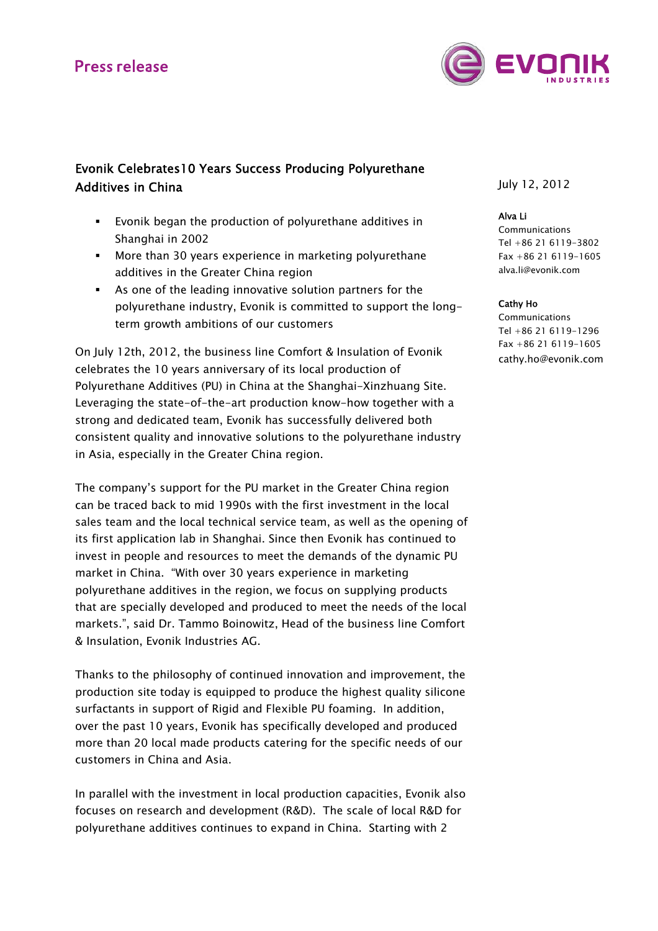# **Press release**



## Evonik Celebrates10 Years Success Producing Polyurethane Additives in China

- Evonik began the production of polyurethane additives in Shanghai in 2002
- More than 30 years experience in marketing polyurethane additives in the Greater China region
- As one of the leading innovative solution partners for the polyurethane industry, Evonik is committed to support the longterm growth ambitions of our customers

On July 12th, 2012, the business line Comfort & Insulation of Evonik celebrates the 10 years anniversary of its local production of Polyurethane Additives (PU) in China at the Shanghai-Xinzhuang Site. Leveraging the state-of-the-art production know-how together with a strong and dedicated team, Evonik has successfully delivered both consistent quality and innovative solutions to the polyurethane industry in Asia, especially in the Greater China region.

The company's support for the PU market in the Greater China region can be traced back to mid 1990s with the first investment in the local sales team and the local technical service team, as well as the opening of its first application lab in Shanghai. Since then Evonik has continued to invest in people and resources to meet the demands of the dynamic PU market in China. "With over 30 years experience in marketing polyurethane additives in the region, we focus on supplying products that are specially developed and produced to meet the needs of the local markets.", said Dr. Tammo Boinowitz, Head of the business line Comfort & Insulation, Evonik Industries AG.

Thanks to the philosophy of continued innovation and improvement, the production site today is equipped to produce the highest quality silicone surfactants in support of Rigid and Flexible PU foaming. In addition, over the past 10 years, Evonik has specifically developed and produced more than 20 local made products catering for the specific needs of our customers in China and Asia.

In parallel with the investment in local production capacities, Evonik also focuses on research and development (R&D). The scale of local R&D for polyurethane additives continues to expand in China. Starting with 2

July 12, 2012

#### Alva Li

Communications Tel +86 21 6119-3802 Fax +86 21 6119-1605 alva.li@evonik.com

#### Cathy Ho

**Communications** Tel +86 21 6119-1296 Fax +86 21 6119-1605 cathy.ho@evonik.com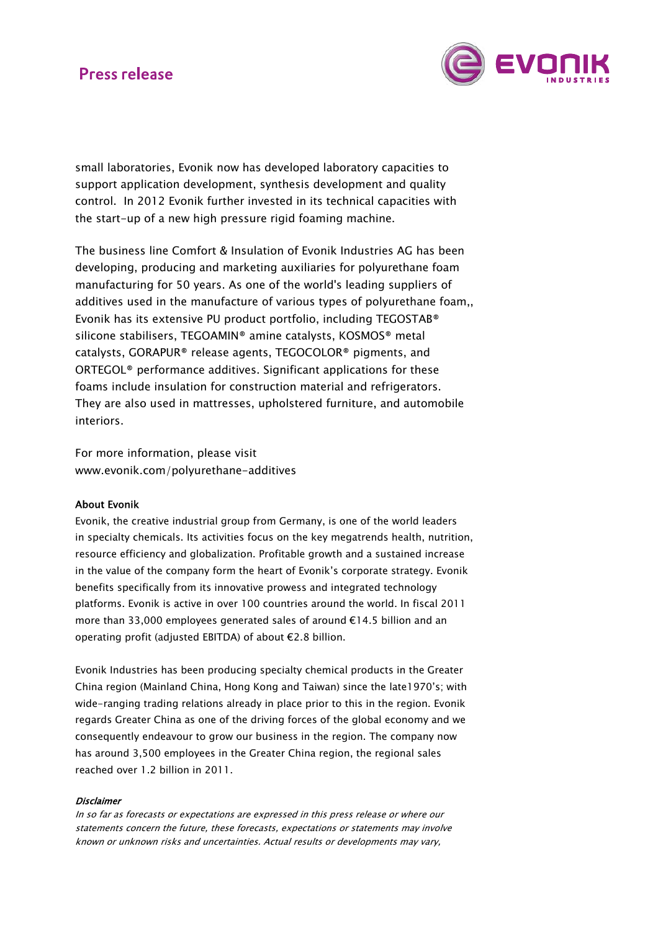# **Press release**



small laboratories, Evonik now has developed laboratory capacities to support application development, synthesis development and quality control. In 2012 Evonik further invested in its technical capacities with the start-up of a new high pressure rigid foaming machine.

The business line Comfort & Insulation of Evonik Industries AG has been developing, producing and marketing auxiliaries for polyurethane foam manufacturing for 50 years. As one of the world's leading suppliers of additives used in the manufacture of various types of polyurethane foam,, Evonik has its extensive PU product portfolio, including TEGOSTAB® silicone stabilisers, TEGOAMIN® amine catalysts, KOSMOS® metal catalysts, GORAPUR® release agents, TEGOCOLOR® pigments, and ORTEGOL® performance additives. Significant applications for these foams include insulation for construction material and refrigerators. They are also used in mattresses, upholstered furniture, and automobile interiors.

For more information, please visit www.evonik.com/polyurethane-additives

### About Evonik

Evonik, the creative industrial group from Germany, is one of the world leaders in specialty chemicals. Its activities focus on the key megatrends health, nutrition, resource efficiency and globalization. Profitable growth and a sustained increase in the value of the company form the heart of Evonik's corporate strategy. Evonik benefits specifically from its innovative prowess and integrated technology platforms. Evonik is active in over 100 countries around the world. In fiscal 2011 more than 33,000 employees generated sales of around €14.5 billion and an operating profit (adjusted EBITDA) of about €2.8 billion.

Evonik Industries has been producing specialty chemical products in the Greater China region (Mainland China, Hong Kong and Taiwan) since the late1970's; with wide-ranging trading relations already in place prior to this in the region. Evonik regards Greater China as one of the driving forces of the global economy and we consequently endeavour to grow our business in the region. The company now has around 3,500 employees in the Greater China region, the regional sales reached over 1.2 billion in 2011.

#### **Disclaimer**

In so far as forecasts or expectations are expressed in this press release or where our statements concern the future, these forecasts, expectations or statements may involve known or unknown risks and uncertainties. Actual results or developments may vary,